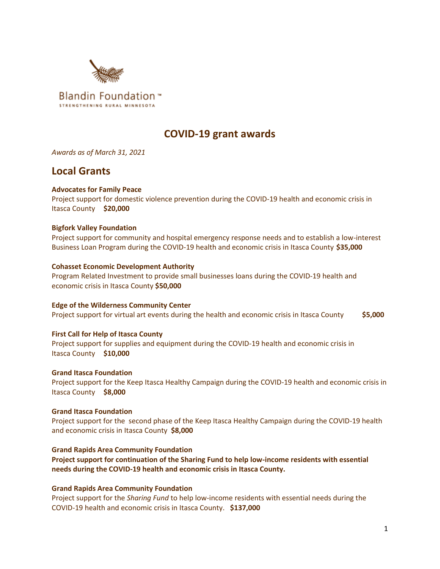

# **COVID-19 grant awards**

*Awards as of March 31, 2021*

# **Local Grants**

# **Advocates for Family Peace**

Project support for domestic violence prevention during the COVID-19 health and economic crisis in Itasca County **\$20,000**

# **Bigfork Valley Foundation**

Project support for community and hospital emergency response needs and to establish a low-interest Business Loan Program during the COVID-19 health and economic crisis in Itasca County **\$35,000**

# **Cohasset Economic Development Authority**

Program Related Investment to provide small businesses loans during the COVID-19 health and economic crisis in Itasca County **\$50,000**

**Edge of the Wilderness Community Center** Project support for virtual art events during the health and economic crisis in Itasca County **\$5,000** 

# **First Call for Help of Itasca County**

Project support for supplies and equipment during the COVID-19 health and economic crisis in Itasca County **\$10,000**

# **Grand Itasca Foundation**

Project support for the Keep Itasca Healthy Campaign during the COVID-19 health and economic crisis in Itasca County **\$8,000**

# **Grand Itasca Foundation**

Project support for the second phase of the Keep Itasca Healthy Campaign during the COVID-19 health and economic crisis in Itasca County **\$8,000**

# **Grand Rapids Area Community Foundation**

**Project support for continuation of the Sharing Fund to help low-income residents with essential needs during the COVID-19 health and economic crisis in Itasca County.** 

# **Grand Rapids Area Community Foundation**

Project support for the *Sharing Fund* to help low-income residents with essential needs during the COVID-19 health and economic crisis in Itasca County. **\$137,000**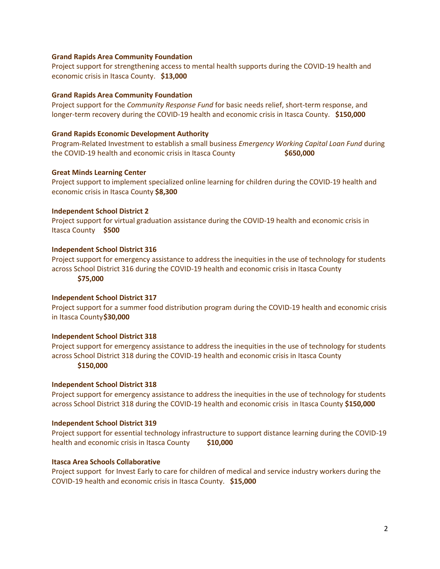## **Grand Rapids Area Community Foundation**

Project support for strengthening access to mental health supports during the COVID-19 health and economic crisis in Itasca County. **\$13,000**

## **Grand Rapids Area Community Foundation**

Project support for the *Community Response Fund* for basic needs relief, short-term response, and longer-term recovery during the COVID-19 health and economic crisis in Itasca County. **\$150,000**

## **Grand Rapids Economic Development Authority**

Program-Related Investment to establish a small business *Emergency Working Capital Loan Fund* during the COVID-19 health and economic crisis in Itasca County **\$650,000**

## **Great Minds Learning Center**

Project support to implement specialized online learning for children during the COVID-19 health and economic crisis in Itasca County **\$8,300**

## **Independent School District 2**

Project support for virtual graduation assistance during the COVID-19 health and economic crisis in Itasca County **\$500**

## **Independent School District 316**

Project support for emergency assistance to address the inequities in the use of technology for students across School District 316 during the COVID-19 health and economic crisis in Itasca County **\$75,000**

## **Independent School District 317**

Project support for a summer food distribution program during the COVID-19 health and economic crisis in Itasca County**\$30,000**

## **Independent School District 318**

Project support for emergency assistance to address the inequities in the use of technology for students across School District 318 during the COVID-19 health and economic crisis in Itasca County

## **\$150,000**

## **Independent School District 318**

Project support for emergency assistance to address the inequities in the use of technology for students across School District 318 during the COVID-19 health and economic crisis in Itasca County **\$150,000**

## **Independent School District 319**

Project support for essential technology infrastructure to support distance learning during the COVID-19 health and economic crisis in Itasca County **\$10,000** 

## **Itasca Area Schools Collaborative**

Project support for Invest Early to care for children of medical and service industry workers during the COVID-19 health and economic crisis in Itasca County. **\$15,000**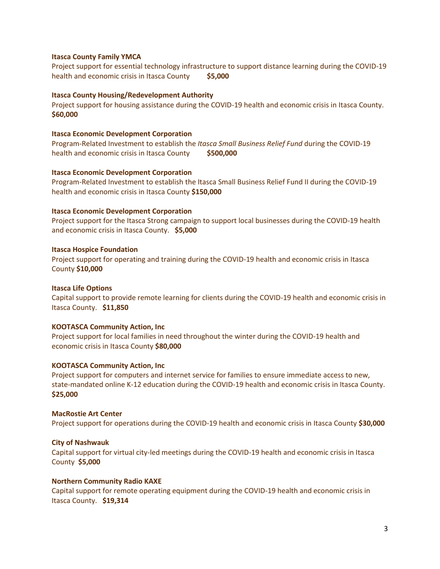## **Itasca County Family YMCA**

Project support for essential technology infrastructure to support distance learning during the COVID-19 health and economic crisis in Itasca County **\$5,000**

## **Itasca County Housing/Redevelopment Authority**

Project support for housing assistance during the COVID-19 health and economic crisis in Itasca County. **\$60,000**

## **Itasca Economic Development Corporation**

Program-Related Investment to establish the *Itasca Small Business Relief Fund* during the COVID-19 health and economic crisis in Itasca County **\$500,000** 

#### **Itasca Economic Development Corporation**

Program-Related Investment to establish the Itasca Small Business Relief Fund II during the COVID-19 health and economic crisis in Itasca County **\$150,000**

## **Itasca Economic Development Corporation**

Project support for the Itasca Strong campaign to support local businesses during the COVID-19 health and economic crisis in Itasca County. **\$5,000**

#### **Itasca Hospice Foundation**

Project support for operating and training during the COVID-19 health and economic crisis in Itasca County **\$10,000** 

#### **Itasca Life Options**

Capital support to provide remote learning for clients during the COVID-19 health and economic crisis in Itasca County. **\$11,850**

#### **KOOTASCA Community Action, Inc**

Project support for local families in need throughout the winter during the COVID-19 health and economic crisis in Itasca County **\$80,000**

#### **KOOTASCA Community Action, Inc**

Project support for computers and internet service for families to ensure immediate access to new, state-mandated online K-12 education during the COVID-19 health and economic crisis in Itasca County. **\$25,000**

#### **MacRostie Art Center**

Project support for operations during the COVID-19 health and economic crisis in Itasca County **\$30,000** 

## **City of Nashwauk**

Capital support for virtual city-led meetings during the COVID-19 health and economic crisis in Itasca County **\$5,000**

#### **Northern Community Radio KAXE**

Capital support for remote operating equipment during the COVID-19 health and economic crisis in Itasca County. **\$19,314**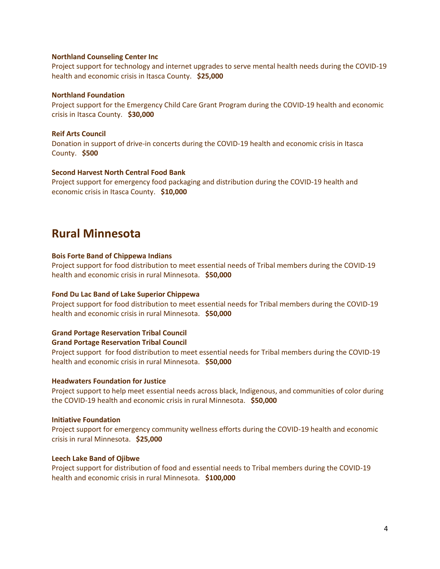## **Northland Counseling Center Inc**

Project support for technology and internet upgrades to serve mental health needs during the COVID-19 health and economic crisis in Itasca County. **\$25,000**

## **Northland Foundation**

Project support for the Emergency Child Care Grant Program during the COVID-19 health and economic crisis in Itasca County. **\$30,000**

## **Reif Arts Council**

Donation in support of drive-in concerts during the COVID-19 health and economic crisis in Itasca County. **\$500**

#### **Second Harvest North Central Food Bank**

Project support for emergency food packaging and distribution during the COVID-19 health and economic crisis in Itasca County. **\$10,000**

# **Rural Minnesota**

#### **Bois Forte Band of Chippewa Indians**

Project support for food distribution to meet essential needs of Tribal members during the COVID-19 health and economic crisis in rural Minnesota. **\$50,000**

#### **Fond Du Lac Band of Lake Superior Chippewa**

Project support for food distribution to meet essential needs for Tribal members during the COVID-19 health and economic crisis in rural Minnesota. **\$50,000**

## **Grand Portage Reservation Tribal Council**

**Grand Portage Reservation Tribal Council**

Project support for food distribution to meet essential needs for Tribal members during the COVID-19 health and economic crisis in rural Minnesota. **\$50,000**

### **Headwaters Foundation for Justice**

Project support to help meet essential needs across black, Indigenous, and communities of color during the COVID-19 health and economic crisis in rural Minnesota. **\$50,000**

#### **Initiative Foundation**

Project support for emergency community wellness efforts during the COVID-19 health and economic crisis in rural Minnesota. **\$25,000**

## **Leech Lake Band of Ojibwe**

Project support for distribution of food and essential needs to Tribal members during the COVID-19 health and economic crisis in rural Minnesota. **\$100,000**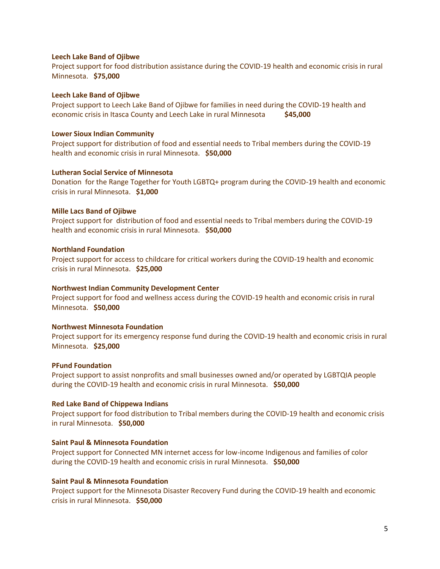## **Leech Lake Band of Ojibwe**

Project support for food distribution assistance during the COVID-19 health and economic crisis in rural Minnesota. **\$75,000**

#### **Leech Lake Band of Ojibwe**

Project support to Leech Lake Band of Ojibwe for families in need during the COVID-19 health and economic crisis in Itasca County and Leech Lake in rural Minnesota **\$45,000**

### **Lower Sioux Indian Community**

Project support for distribution of food and essential needs to Tribal members during the COVID-19 health and economic crisis in rural Minnesota. **\$50,000**

#### **Lutheran Social Service of Minnesota**

Donation for the Range Together for Youth LGBTQ+ program during the COVID-19 health and economic crisis in rural Minnesota. **\$1,000**

#### **Mille Lacs Band of Ojibwe**

Project support for distribution of food and essential needs to Tribal members during the COVID-19 health and economic crisis in rural Minnesota. **\$50,000**

## **Northland Foundation**

Project support for access to childcare for critical workers during the COVID-19 health and economic crisis in rural Minnesota. **\$25,000**

#### **Northwest Indian Community Development Center**

Project support for food and wellness access during the COVID-19 health and economic crisis in rural Minnesota. **\$50,000**

#### **Northwest Minnesota Foundation**

Project support for its emergency response fund during the COVID-19 health and economic crisis in rural Minnesota. **\$25,000**

#### **PFund Foundation**

Project support to assist nonprofits and small businesses owned and/or operated by LGBTQIA people during the COVID-19 health and economic crisis in rural Minnesota. **\$50,000**

#### **Red Lake Band of Chippewa Indians**

Project support for food distribution to Tribal members during the COVID-19 health and economic crisis in rural Minnesota. **\$50,000**

# **Saint Paul & Minnesota Foundation**

Project support for Connected MN internet access for low-income Indigenous and families of color during the COVID-19 health and economic crisis in rural Minnesota. **\$50,000**

## **Saint Paul & Minnesota Foundation**

Project support for the Minnesota Disaster Recovery Fund during the COVID-19 health and economic crisis in rural Minnesota. **\$50,000**